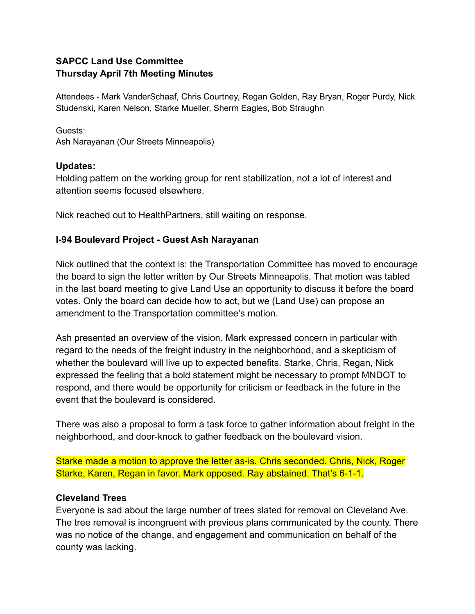### **SAPCC Land Use Committee Thursday April 7th Meeting Minutes**

Attendees - Mark VanderSchaaf, Chris Courtney, Regan Golden, Ray Bryan, Roger Purdy, Nick Studenski, Karen Nelson, Starke Mueller, Sherm Eagles, Bob Straughn

Guests: Ash Narayanan (Our Streets Minneapolis)

### **Updates:**

Holding pattern on the working group for rent stabilization, not a lot of interest and attention seems focused elsewhere.

Nick reached out to HealthPartners, still waiting on response.

# **I-94 Boulevard Project - Guest Ash Narayanan**

Nick outlined that the context is: the Transportation Committee has moved to encourage the board to sign the letter written by Our Streets Minneapolis. That motion was tabled in the last board meeting to give Land Use an opportunity to discuss it before the board votes. Only the board can decide how to act, but we (Land Use) can propose an amendment to the Transportation committee's motion.

Ash presented an overview of the vision. Mark expressed concern in particular with regard to the needs of the freight industry in the neighborhood, and a skepticism of whether the boulevard will live up to expected benefits. Starke, Chris, Regan, Nick expressed the feeling that a bold statement might be necessary to prompt MNDOT to respond, and there would be opportunity for criticism or feedback in the future in the event that the boulevard is considered.

There was also a proposal to form a task force to gather information about freight in the neighborhood, and door-knock to gather feedback on the boulevard vision.

Starke made a motion to approve the letter as-is. Chris seconded. Chris, Nick, Roger Starke, Karen, Regan in favor. Mark opposed. Ray abstained. That's 6-1-1.

## **Cleveland Trees**

Everyone is sad about the large number of trees slated for removal on Cleveland Ave. The tree removal is incongruent with previous plans communicated by the county. There was no notice of the change, and engagement and communication on behalf of the county was lacking.